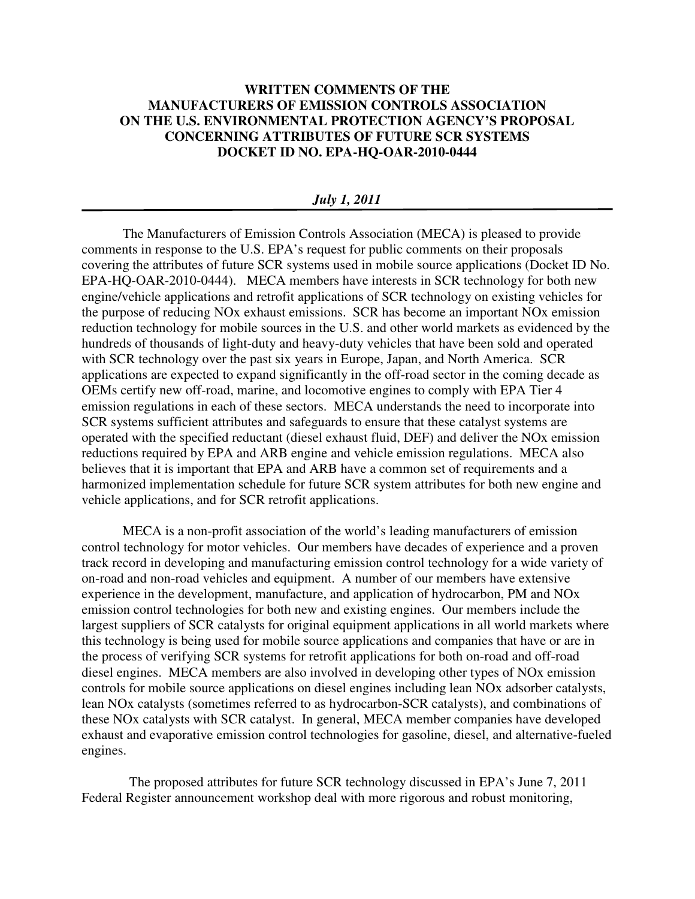## **WRITTEN COMMENTS OF THE MANUFACTURERS OF EMISSION CONTROLS ASSOCIATION ON THE U.S. ENVIRONMENTAL PROTECTION AGENCY'S PROPOSAL CONCERNING ATTRIBUTES OF FUTURE SCR SYSTEMS DOCKET ID NO. EPA-HQ-OAR-2010-0444**

## *July 1, 2011*

The Manufacturers of Emission Controls Association (MECA) is pleased to provide comments in response to the U.S. EPA's request for public comments on their proposals covering the attributes of future SCR systems used in mobile source applications (Docket ID No. EPA-HQ-OAR-2010-0444). MECA members have interests in SCR technology for both new engine/vehicle applications and retrofit applications of SCR technology on existing vehicles for the purpose of reducing NOx exhaust emissions. SCR has become an important NOx emission reduction technology for mobile sources in the U.S. and other world markets as evidenced by the hundreds of thousands of light-duty and heavy-duty vehicles that have been sold and operated with SCR technology over the past six years in Europe, Japan, and North America. SCR applications are expected to expand significantly in the off-road sector in the coming decade as OEMs certify new off-road, marine, and locomotive engines to comply with EPA Tier 4 emission regulations in each of these sectors. MECA understands the need to incorporate into SCR systems sufficient attributes and safeguards to ensure that these catalyst systems are operated with the specified reductant (diesel exhaust fluid, DEF) and deliver the NOx emission reductions required by EPA and ARB engine and vehicle emission regulations. MECA also believes that it is important that EPA and ARB have a common set of requirements and a harmonized implementation schedule for future SCR system attributes for both new engine and vehicle applications, and for SCR retrofit applications.

MECA is a non-profit association of the world's leading manufacturers of emission control technology for motor vehicles. Our members have decades of experience and a proven track record in developing and manufacturing emission control technology for a wide variety of on-road and non-road vehicles and equipment. A number of our members have extensive experience in the development, manufacture, and application of hydrocarbon, PM and NOx emission control technologies for both new and existing engines. Our members include the largest suppliers of SCR catalysts for original equipment applications in all world markets where this technology is being used for mobile source applications and companies that have or are in the process of verifying SCR systems for retrofit applications for both on-road and off-road diesel engines. MECA members are also involved in developing other types of NOx emission controls for mobile source applications on diesel engines including lean NOx adsorber catalysts, lean NOx catalysts (sometimes referred to as hydrocarbon-SCR catalysts), and combinations of these NOx catalysts with SCR catalyst. In general, MECA member companies have developed exhaust and evaporative emission control technologies for gasoline, diesel, and alternative-fueled engines.

 The proposed attributes for future SCR technology discussed in EPA's June 7, 2011 Federal Register announcement workshop deal with more rigorous and robust monitoring,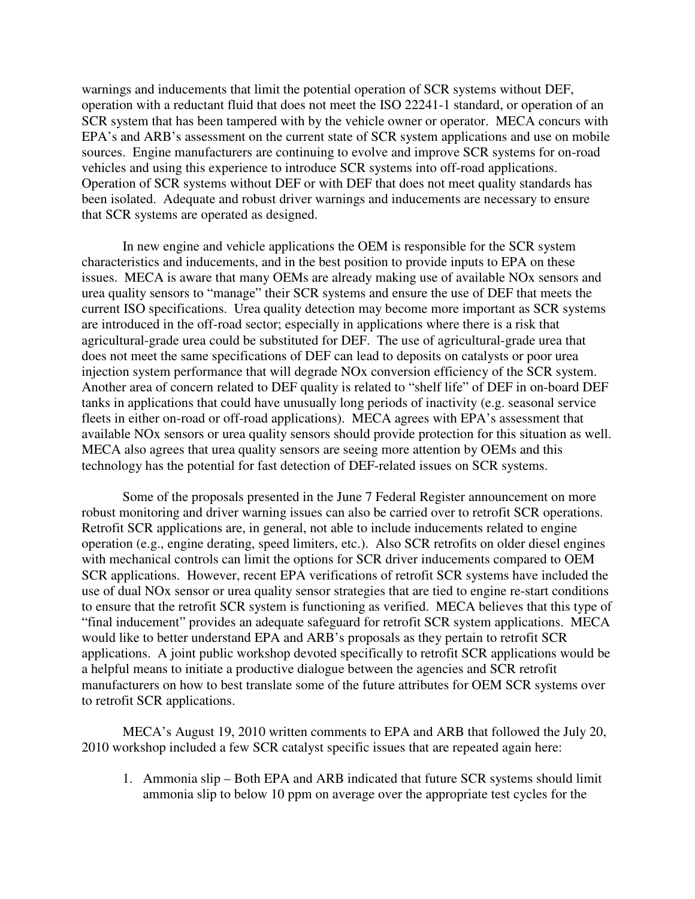warnings and inducements that limit the potential operation of SCR systems without DEF, operation with a reductant fluid that does not meet the ISO 22241-1 standard, or operation of an SCR system that has been tampered with by the vehicle owner or operator. MECA concurs with EPA's and ARB's assessment on the current state of SCR system applications and use on mobile sources. Engine manufacturers are continuing to evolve and improve SCR systems for on-road vehicles and using this experience to introduce SCR systems into off-road applications. Operation of SCR systems without DEF or with DEF that does not meet quality standards has been isolated. Adequate and robust driver warnings and inducements are necessary to ensure that SCR systems are operated as designed.

In new engine and vehicle applications the OEM is responsible for the SCR system characteristics and inducements, and in the best position to provide inputs to EPA on these issues. MECA is aware that many OEMs are already making use of available NOx sensors and urea quality sensors to "manage" their SCR systems and ensure the use of DEF that meets the current ISO specifications. Urea quality detection may become more important as SCR systems are introduced in the off-road sector; especially in applications where there is a risk that agricultural-grade urea could be substituted for DEF. The use of agricultural-grade urea that does not meet the same specifications of DEF can lead to deposits on catalysts or poor urea injection system performance that will degrade NOx conversion efficiency of the SCR system. Another area of concern related to DEF quality is related to "shelf life" of DEF in on-board DEF tanks in applications that could have unusually long periods of inactivity (e.g. seasonal service fleets in either on-road or off-road applications). MECA agrees with EPA's assessment that available NOx sensors or urea quality sensors should provide protection for this situation as well. MECA also agrees that urea quality sensors are seeing more attention by OEMs and this technology has the potential for fast detection of DEF-related issues on SCR systems.

Some of the proposals presented in the June 7 Federal Register announcement on more robust monitoring and driver warning issues can also be carried over to retrofit SCR operations. Retrofit SCR applications are, in general, not able to include inducements related to engine operation (e.g., engine derating, speed limiters, etc.). Also SCR retrofits on older diesel engines with mechanical controls can limit the options for SCR driver inducements compared to OEM SCR applications. However, recent EPA verifications of retrofit SCR systems have included the use of dual NOx sensor or urea quality sensor strategies that are tied to engine re-start conditions to ensure that the retrofit SCR system is functioning as verified. MECA believes that this type of "final inducement" provides an adequate safeguard for retrofit SCR system applications. MECA would like to better understand EPA and ARB's proposals as they pertain to retrofit SCR applications. A joint public workshop devoted specifically to retrofit SCR applications would be a helpful means to initiate a productive dialogue between the agencies and SCR retrofit manufacturers on how to best translate some of the future attributes for OEM SCR systems over to retrofit SCR applications.

MECA's August 19, 2010 written comments to EPA and ARB that followed the July 20, 2010 workshop included a few SCR catalyst specific issues that are repeated again here:

1. Ammonia slip – Both EPA and ARB indicated that future SCR systems should limit ammonia slip to below 10 ppm on average over the appropriate test cycles for the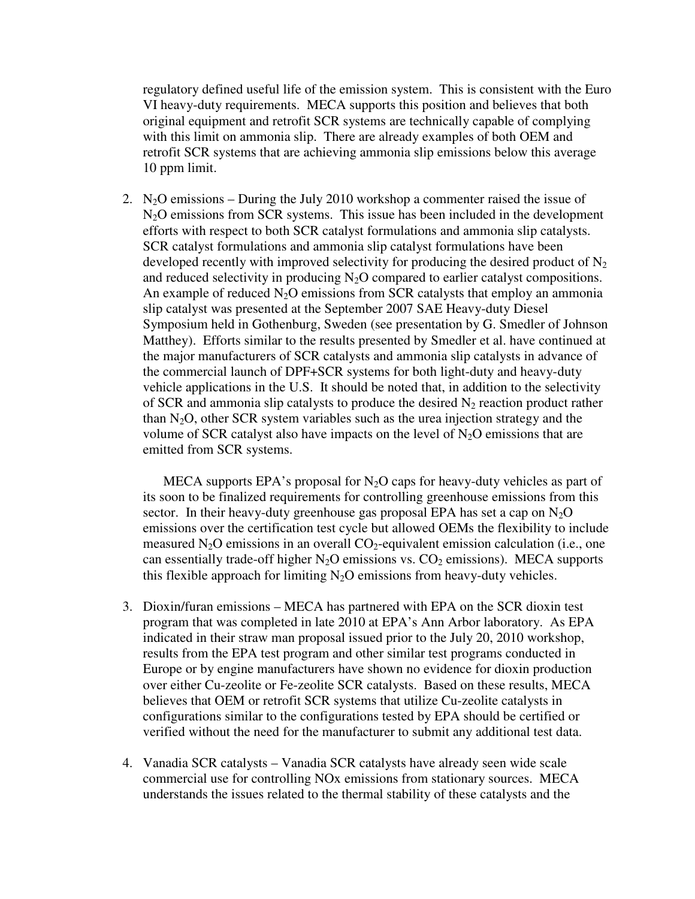regulatory defined useful life of the emission system. This is consistent with the Euro VI heavy-duty requirements. MECA supports this position and believes that both original equipment and retrofit SCR systems are technically capable of complying with this limit on ammonia slip. There are already examples of both OEM and retrofit SCR systems that are achieving ammonia slip emissions below this average 10 ppm limit.

2. N<sub>2</sub>O emissions – During the July 2010 workshop a commenter raised the issue of N2O emissions from SCR systems. This issue has been included in the development efforts with respect to both SCR catalyst formulations and ammonia slip catalysts. SCR catalyst formulations and ammonia slip catalyst formulations have been developed recently with improved selectivity for producing the desired product of  $N_2$ and reduced selectivity in producing  $N_2O$  compared to earlier catalyst compositions. An example of reduced  $N_2O$  emissions from SCR catalysts that employ an ammonia slip catalyst was presented at the September 2007 SAE Heavy-duty Diesel Symposium held in Gothenburg, Sweden (see presentation by G. Smedler of Johnson Matthey). Efforts similar to the results presented by Smedler et al. have continued at the major manufacturers of SCR catalysts and ammonia slip catalysts in advance of the commercial launch of DPF+SCR systems for both light-duty and heavy-duty vehicle applications in the U.S. It should be noted that, in addition to the selectivity of SCR and ammonia slip catalysts to produce the desired  $N_2$  reaction product rather than  $N_2O$ , other SCR system variables such as the urea injection strategy and the volume of SCR catalyst also have impacts on the level of  $N_2O$  emissions that are emitted from SCR systems.

MECA supports EPA's proposal for  $N_2O$  caps for heavy-duty vehicles as part of its soon to be finalized requirements for controlling greenhouse emissions from this sector. In their heavy-duty greenhouse gas proposal EPA has set a cap on  $N_2O$ emissions over the certification test cycle but allowed OEMs the flexibility to include measured  $N_2O$  emissions in an overall  $CO_2$ -equivalent emission calculation (i.e., one can essentially trade-off higher  $N_2O$  emissions vs.  $CO_2$  emissions). MECA supports this flexible approach for limiting  $N_2O$  emissions from heavy-duty vehicles.

- 3. Dioxin/furan emissions MECA has partnered with EPA on the SCR dioxin test program that was completed in late 2010 at EPA's Ann Arbor laboratory. As EPA indicated in their straw man proposal issued prior to the July 20, 2010 workshop, results from the EPA test program and other similar test programs conducted in Europe or by engine manufacturers have shown no evidence for dioxin production over either Cu-zeolite or Fe-zeolite SCR catalysts. Based on these results, MECA believes that OEM or retrofit SCR systems that utilize Cu-zeolite catalysts in configurations similar to the configurations tested by EPA should be certified or verified without the need for the manufacturer to submit any additional test data.
- 4. Vanadia SCR catalysts Vanadia SCR catalysts have already seen wide scale commercial use for controlling NOx emissions from stationary sources. MECA understands the issues related to the thermal stability of these catalysts and the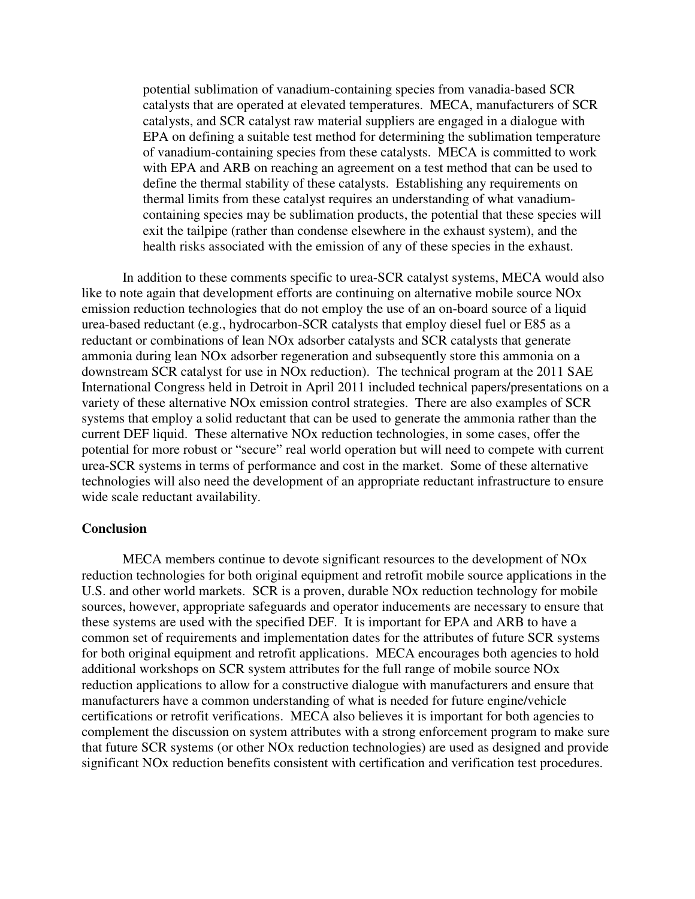potential sublimation of vanadium-containing species from vanadia-based SCR catalysts that are operated at elevated temperatures. MECA, manufacturers of SCR catalysts, and SCR catalyst raw material suppliers are engaged in a dialogue with EPA on defining a suitable test method for determining the sublimation temperature of vanadium-containing species from these catalysts. MECA is committed to work with EPA and ARB on reaching an agreement on a test method that can be used to define the thermal stability of these catalysts. Establishing any requirements on thermal limits from these catalyst requires an understanding of what vanadiumcontaining species may be sublimation products, the potential that these species will exit the tailpipe (rather than condense elsewhere in the exhaust system), and the health risks associated with the emission of any of these species in the exhaust.

 In addition to these comments specific to urea-SCR catalyst systems, MECA would also like to note again that development efforts are continuing on alternative mobile source NOx emission reduction technologies that do not employ the use of an on-board source of a liquid urea-based reductant (e.g., hydrocarbon-SCR catalysts that employ diesel fuel or E85 as a reductant or combinations of lean NOx adsorber catalysts and SCR catalysts that generate ammonia during lean NOx adsorber regeneration and subsequently store this ammonia on a downstream SCR catalyst for use in NOx reduction). The technical program at the 2011 SAE International Congress held in Detroit in April 2011 included technical papers/presentations on a variety of these alternative NOx emission control strategies. There are also examples of SCR systems that employ a solid reductant that can be used to generate the ammonia rather than the current DEF liquid. These alternative NOx reduction technologies, in some cases, offer the potential for more robust or "secure" real world operation but will need to compete with current urea-SCR systems in terms of performance and cost in the market. Some of these alternative technologies will also need the development of an appropriate reductant infrastructure to ensure wide scale reductant availability.

## **Conclusion**

 MECA members continue to devote significant resources to the development of NOx reduction technologies for both original equipment and retrofit mobile source applications in the U.S. and other world markets. SCR is a proven, durable NOx reduction technology for mobile sources, however, appropriate safeguards and operator inducements are necessary to ensure that these systems are used with the specified DEF. It is important for EPA and ARB to have a common set of requirements and implementation dates for the attributes of future SCR systems for both original equipment and retrofit applications. MECA encourages both agencies to hold additional workshops on SCR system attributes for the full range of mobile source NOx reduction applications to allow for a constructive dialogue with manufacturers and ensure that manufacturers have a common understanding of what is needed for future engine/vehicle certifications or retrofit verifications. MECA also believes it is important for both agencies to complement the discussion on system attributes with a strong enforcement program to make sure that future SCR systems (or other NOx reduction technologies) are used as designed and provide significant NOx reduction benefits consistent with certification and verification test procedures.